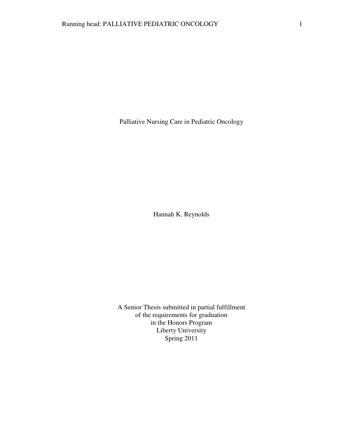Palliative Nursing Care in Pediatric Oncology

Hannah K. Reynolds

A Senior Thesis submitted in partial fulfillment of the requirements for graduation in the Honors Program Liberty University Spring 2011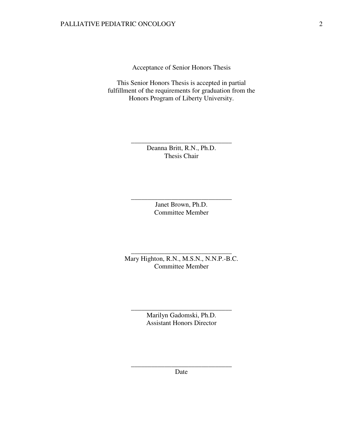Acceptance of Senior Honors Thesis

This Senior Honors Thesis is accepted in partial fulfillment of the requirements for graduation from the Honors Program of Liberty University.

> Deanna Britt, R.N., Ph.D. Thesis Chair

\_\_\_\_\_\_\_\_\_\_\_\_\_\_\_\_\_\_\_\_\_\_\_\_\_\_\_\_\_\_

Janet Brown, Ph.D. Committee Member

\_\_\_\_\_\_\_\_\_\_\_\_\_\_\_\_\_\_\_\_\_\_\_\_\_\_\_\_\_\_

Mary Highton, R.N., M.S.N., N.N.P.-B.C. Committee Member

\_\_\_\_\_\_\_\_\_\_\_\_\_\_\_\_\_\_\_\_\_\_\_\_\_\_\_\_\_\_

Marilyn Gadomski, Ph.D. Assistant Honors Director

\_\_\_\_\_\_\_\_\_\_\_\_\_\_\_\_\_\_\_\_\_\_\_\_\_\_\_\_\_\_

\_\_\_\_\_\_\_\_\_\_\_\_\_\_\_\_\_\_\_\_\_\_\_\_\_\_\_\_\_\_ Date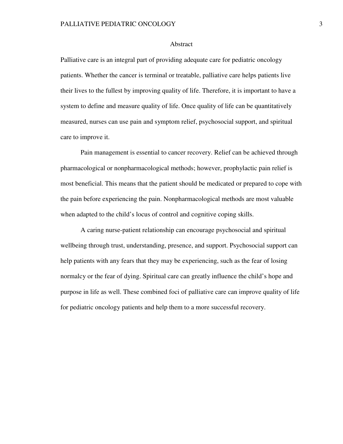### Abstract

Palliative care is an integral part of providing adequate care for pediatric oncology patients. Whether the cancer is terminal or treatable, palliative care helps patients live their lives to the fullest by improving quality of life. Therefore, it is important to have a system to define and measure quality of life. Once quality of life can be quantitatively measured, nurses can use pain and symptom relief, psychosocial support, and spiritual care to improve it.

Pain management is essential to cancer recovery. Relief can be achieved through pharmacological or nonpharmacological methods; however, prophylactic pain relief is most beneficial. This means that the patient should be medicated or prepared to cope with the pain before experiencing the pain. Nonpharmacological methods are most valuable when adapted to the child's locus of control and cognitive coping skills.

A caring nurse-patient relationship can encourage psychosocial and spiritual wellbeing through trust, understanding, presence, and support. Psychosocial support can help patients with any fears that they may be experiencing, such as the fear of losing normalcy or the fear of dying. Spiritual care can greatly influence the child's hope and purpose in life as well. These combined foci of palliative care can improve quality of life for pediatric oncology patients and help them to a more successful recovery.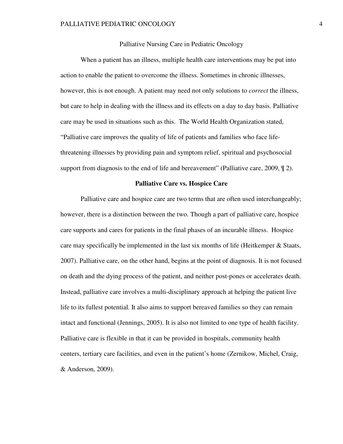# Palliative Nursing Care in Pediatric Oncology

When a patient has an illness, multiple health care interventions may be put into action to enable the patient to overcome the illness. Sometimes in chronic illnesses, however, this is not enough. A patient may need not only solutions to *correct* the illness, but care to help in dealing with the illness and its effects on a day to day basis. Palliative care may be used in situations such as this. The World Health Organization stated, "Palliative care improves the quality of life of patients and families who face lifethreatening illnesses by providing pain and symptom relief, spiritual and psychosocial support from diagnosis to the end of life and bereavement" (Palliative care, 2009,  $\P$  2).

### **Palliative Care vs. Hospice Care**

Palliative care and hospice care are two terms that are often used interchangeably; however, there is a distinction between the two. Though a part of palliative care, hospice care supports and cares for patients in the final phases of an incurable illness. Hospice care may specifically be implemented in the last six months of life (Heitkemper & Staats, 2007). Palliative care, on the other hand, begins at the point of diagnosis. It is not focused on death and the dying process of the patient, and neither post-pones or accelerates death. Instead, palliative care involves a multi-disciplinary approach at helping the patient live life to its fullest potential. It also aims to support bereaved families so they can remain intact and functional (Jennings, 2005). It is also not limited to one type of health facility. Palliative care is flexible in that it can be provided in hospitals, community health centers, tertiary care facilities, and even in the patient's home (Zernikow, Michel, Craig, & Anderson, 2009).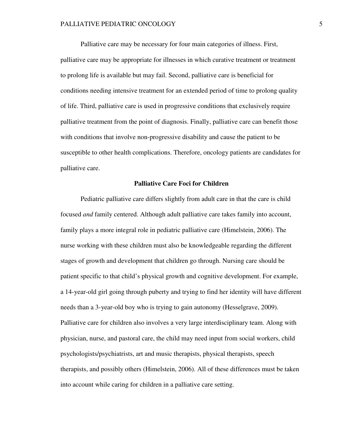Palliative care may be necessary for four main categories of illness. First, palliative care may be appropriate for illnesses in which curative treatment or treatment to prolong life is available but may fail. Second, palliative care is beneficial for conditions needing intensive treatment for an extended period of time to prolong quality of life. Third, palliative care is used in progressive conditions that exclusively require palliative treatment from the point of diagnosis. Finally, palliative care can benefit those with conditions that involve non-progressive disability and cause the patient to be susceptible to other health complications. Therefore, oncology patients are candidates for palliative care.

### **Palliative Care Foci for Children**

Pediatric palliative care differs slightly from adult care in that the care is child focused *and* family centered. Although adult palliative care takes family into account, family plays a more integral role in pediatric palliative care (Himelstein, 2006). The nurse working with these children must also be knowledgeable regarding the different stages of growth and development that children go through. Nursing care should be patient specific to that child's physical growth and cognitive development. For example, a 14-year-old girl going through puberty and trying to find her identity will have different needs than a 3-year-old boy who is trying to gain autonomy (Hesselgrave, 2009). Palliative care for children also involves a very large interdisciplinary team. Along with physician, nurse, and pastoral care, the child may need input from social workers, child psychologists/psychiatrists, art and music therapists, physical therapists, speech therapists, and possibly others (Himelstein, 2006). All of these differences must be taken into account while caring for children in a palliative care setting.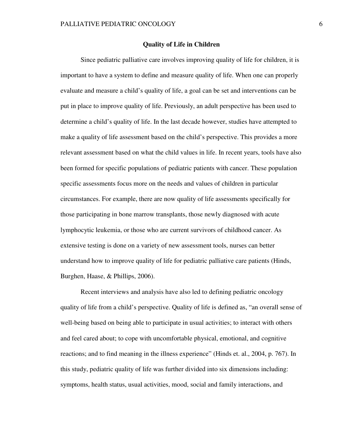### **Quality of Life in Children**

Since pediatric palliative care involves improving quality of life for children, it is important to have a system to define and measure quality of life. When one can properly evaluate and measure a child's quality of life, a goal can be set and interventions can be put in place to improve quality of life. Previously, an adult perspective has been used to determine a child's quality of life. In the last decade however, studies have attempted to make a quality of life assessment based on the child's perspective. This provides a more relevant assessment based on what the child values in life. In recent years, tools have also been formed for specific populations of pediatric patients with cancer. These population specific assessments focus more on the needs and values of children in particular circumstances. For example, there are now quality of life assessments specifically for those participating in bone marrow transplants, those newly diagnosed with acute lymphocytic leukemia, or those who are current survivors of childhood cancer. As extensive testing is done on a variety of new assessment tools, nurses can better understand how to improve quality of life for pediatric palliative care patients (Hinds, Burghen, Haase, & Phillips, 2006).

 Recent interviews and analysis have also led to defining pediatric oncology quality of life from a child's perspective. Quality of life is defined as, "an overall sense of well-being based on being able to participate in usual activities; to interact with others and feel cared about; to cope with uncomfortable physical, emotional, and cognitive reactions; and to find meaning in the illness experience" (Hinds et. al., 2004, p. 767). In this study, pediatric quality of life was further divided into six dimensions including: symptoms, health status, usual activities, mood, social and family interactions, and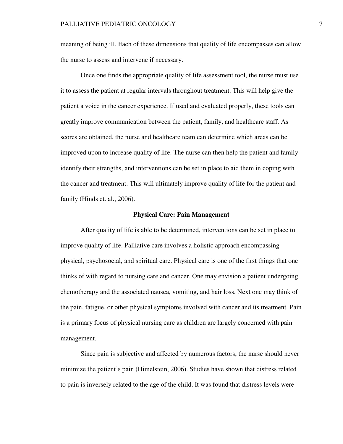meaning of being ill. Each of these dimensions that quality of life encompasses can allow the nurse to assess and intervene if necessary.

 Once one finds the appropriate quality of life assessment tool, the nurse must use it to assess the patient at regular intervals throughout treatment. This will help give the patient a voice in the cancer experience. If used and evaluated properly, these tools can greatly improve communication between the patient, family, and healthcare staff. As scores are obtained, the nurse and healthcare team can determine which areas can be improved upon to increase quality of life. The nurse can then help the patient and family identify their strengths, and interventions can be set in place to aid them in coping with the cancer and treatment. This will ultimately improve quality of life for the patient and family (Hinds et. al., 2006).

#### **Physical Care: Pain Management**

After quality of life is able to be determined, interventions can be set in place to improve quality of life. Palliative care involves a holistic approach encompassing physical, psychosocial, and spiritual care. Physical care is one of the first things that one thinks of with regard to nursing care and cancer. One may envision a patient undergoing chemotherapy and the associated nausea, vomiting, and hair loss. Next one may think of the pain, fatigue, or other physical symptoms involved with cancer and its treatment. Pain is a primary focus of physical nursing care as children are largely concerned with pain management.

 Since pain is subjective and affected by numerous factors, the nurse should never minimize the patient's pain (Himelstein, 2006). Studies have shown that distress related to pain is inversely related to the age of the child. It was found that distress levels were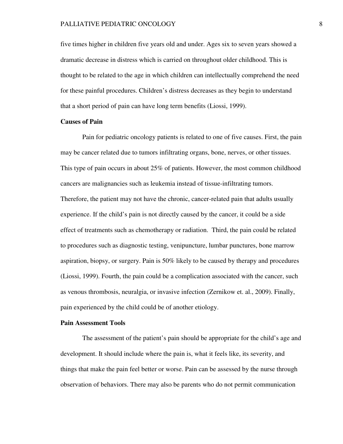#### PALLIATIVE PEDIATRIC ONCOLOGY 8

five times higher in children five years old and under. Ages six to seven years showed a dramatic decrease in distress which is carried on throughout older childhood. This is thought to be related to the age in which children can intellectually comprehend the need for these painful procedures. Children's distress decreases as they begin to understand that a short period of pain can have long term benefits (Liossi, 1999).

## **Causes of Pain**

Pain for pediatric oncology patients is related to one of five causes. First, the pain may be cancer related due to tumors infiltrating organs, bone, nerves, or other tissues. This type of pain occurs in about 25% of patients. However, the most common childhood cancers are malignancies such as leukemia instead of tissue-infiltrating tumors. Therefore, the patient may not have the chronic, cancer-related pain that adults usually experience. If the child's pain is not directly caused by the cancer, it could be a side effect of treatments such as chemotherapy or radiation. Third, the pain could be related to procedures such as diagnostic testing, venipuncture, lumbar punctures, bone marrow aspiration, biopsy, or surgery. Pain is 50% likely to be caused by therapy and procedures (Liossi, 1999). Fourth, the pain could be a complication associated with the cancer, such as venous thrombosis, neuralgia, or invasive infection (Zernikow et. al., 2009). Finally, pain experienced by the child could be of another etiology.

# **Pain Assessment Tools**

The assessment of the patient's pain should be appropriate for the child's age and development. It should include where the pain is, what it feels like, its severity, and things that make the pain feel better or worse. Pain can be assessed by the nurse through observation of behaviors. There may also be parents who do not permit communication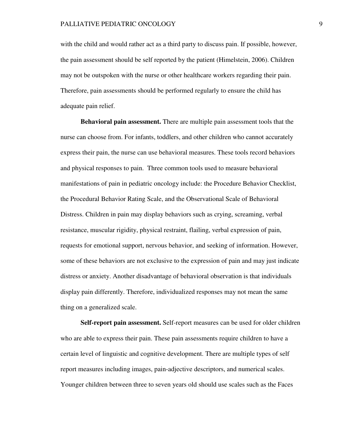with the child and would rather act as a third party to discuss pain. If possible, however, the pain assessment should be self reported by the patient (Himelstein, 2006). Children may not be outspoken with the nurse or other healthcare workers regarding their pain. Therefore, pain assessments should be performed regularly to ensure the child has adequate pain relief.

 **Behavioral pain assessment.** There are multiple pain assessment tools that the nurse can choose from. For infants, toddlers, and other children who cannot accurately express their pain, the nurse can use behavioral measures. These tools record behaviors and physical responses to pain. Three common tools used to measure behavioral manifestations of pain in pediatric oncology include: the Procedure Behavior Checklist, the Procedural Behavior Rating Scale, and the Observational Scale of Behavioral Distress. Children in pain may display behaviors such as crying, screaming, verbal resistance, muscular rigidity, physical restraint, flailing, verbal expression of pain, requests for emotional support, nervous behavior, and seeking of information. However, some of these behaviors are not exclusive to the expression of pain and may just indicate distress or anxiety. Another disadvantage of behavioral observation is that individuals display pain differently. Therefore, individualized responses may not mean the same thing on a generalized scale.

**Self-report pain assessment.** Self-report measures can be used for older children who are able to express their pain. These pain assessments require children to have a certain level of linguistic and cognitive development. There are multiple types of self report measures including images, pain-adjective descriptors, and numerical scales. Younger children between three to seven years old should use scales such as the Faces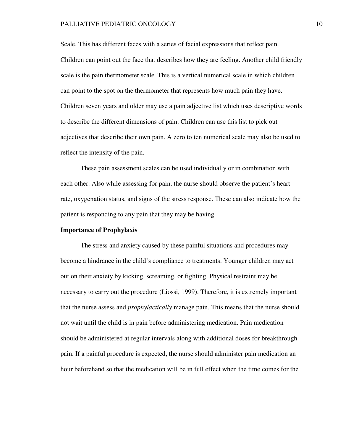#### PALLIATIVE PEDIATRIC ONCOLOGY 10

Scale. This has different faces with a series of facial expressions that reflect pain. Children can point out the face that describes how they are feeling. Another child friendly scale is the pain thermometer scale. This is a vertical numerical scale in which children can point to the spot on the thermometer that represents how much pain they have. Children seven years and older may use a pain adjective list which uses descriptive words to describe the different dimensions of pain. Children can use this list to pick out adjectives that describe their own pain. A zero to ten numerical scale may also be used to reflect the intensity of the pain.

 These pain assessment scales can be used individually or in combination with each other. Also while assessing for pain, the nurse should observe the patient's heart rate, oxygenation status, and signs of the stress response. These can also indicate how the patient is responding to any pain that they may be having.

### **Importance of Prophylaxis**

 The stress and anxiety caused by these painful situations and procedures may become a hindrance in the child's compliance to treatments. Younger children may act out on their anxiety by kicking, screaming, or fighting. Physical restraint may be necessary to carry out the procedure (Liossi, 1999). Therefore, it is extremely important that the nurse assess and *prophylactically* manage pain. This means that the nurse should not wait until the child is in pain before administering medication. Pain medication should be administered at regular intervals along with additional doses for breakthrough pain. If a painful procedure is expected, the nurse should administer pain medication an hour beforehand so that the medication will be in full effect when the time comes for the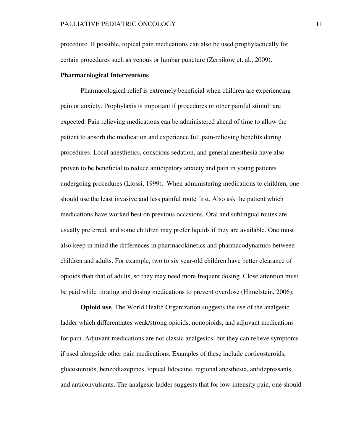procedure. If possible, topical pain medications can also be used prophylactically for certain procedures such as venous or lumbar puncture (Zernikow et. al., 2009).

## **Pharmacological Interventions**

Pharmacological relief is extremely beneficial when children are experiencing pain or anxiety. Prophylaxis is important if procedures or other painful stimuli are expected. Pain relieving medications can be administered ahead of time to allow the patient to absorb the medication and experience full pain-relieving benefits during procedures. Local anesthetics, conscious sedation, and general anesthesia have also proven to be beneficial to reduce anticipatory anxiety and pain in young patients undergoing procedures (Liossi, 1999). When administering medications to children, one should use the least invasive and less painful route first. Also ask the patient which medications have worked best on previous occasions. Oral and sublingual routes are usually preferred, and some children may prefer liquids if they are available. One must also keep in mind the differences in pharmacokinetics and pharmacodynamics between children and adults. For example, two to six year-old children have better clearance of opioids than that of adults, so they may need more frequent dosing. Close attention must be paid while titrating and dosing medications to prevent overdose (Himelstein, 2006).

**Opioid use***.* The World Health Organization suggests the use of the analgesic ladder which differentiates weak/strong opioids, nonopioids, and adjuvant medications for pain. Adjuvant medications are not classic analgesics, but they can relieve symptoms if used alongside other pain medications. Examples of these include corticosteroids, glucosteroids, benzodiazepines, topical lidocaine, regional anesthesia, antidepressants, and anticonvulsants. The analgesic ladder suggests that for low-intensity pain, one should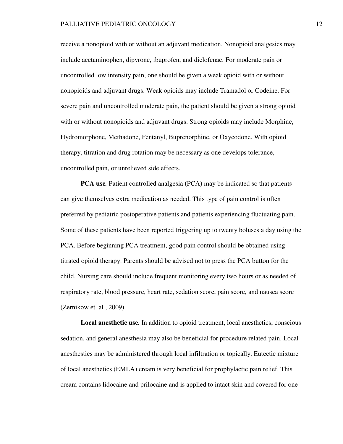receive a nonopioid with or without an adjuvant medication. Nonopioid analgesics may include acetaminophen, dipyrone, ibuprofen, and diclofenac. For moderate pain or uncontrolled low intensity pain, one should be given a weak opioid with or without nonopioids and adjuvant drugs. Weak opioids may include Tramadol or Codeine. For severe pain and uncontrolled moderate pain, the patient should be given a strong opioid with or without nonopioids and adjuvant drugs. Strong opioids may include Morphine, Hydromorphone, Methadone, Fentanyl, Buprenorphine, or Oxycodone. With opioid therapy, titration and drug rotation may be necessary as one develops tolerance, uncontrolled pain, or unrelieved side effects.

**PCA use.** Patient controlled analgesia (PCA) may be indicated so that patients can give themselves extra medication as needed. This type of pain control is often preferred by pediatric postoperative patients and patients experiencing fluctuating pain. Some of these patients have been reported triggering up to twenty boluses a day using the PCA. Before beginning PCA treatment, good pain control should be obtained using titrated opioid therapy. Parents should be advised not to press the PCA button for the child. Nursing care should include frequent monitoring every two hours or as needed of respiratory rate, blood pressure, heart rate, sedation score, pain score, and nausea score (Zernikow et. al., 2009).

**Local anesthetic use***.* In addition to opioid treatment, local anesthetics, conscious sedation, and general anesthesia may also be beneficial for procedure related pain. Local anesthestics may be administered through local infiltration or topically. Eutectic mixture of local anesthetics (EMLA) cream is very beneficial for prophylactic pain relief. This cream contains lidocaine and prilocaine and is applied to intact skin and covered for one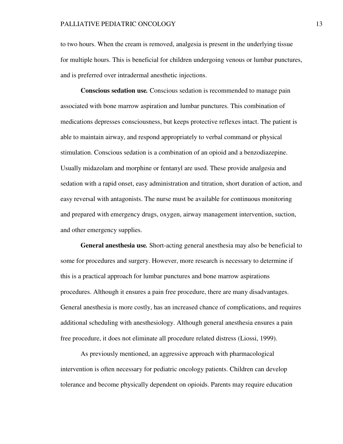to two hours. When the cream is removed, analgesia is present in the underlying tissue for multiple hours. This is beneficial for children undergoing venous or lumbar punctures, and is preferred over intradermal anesthetic injections.

**Conscious sedation use***.* Conscious sedation is recommended to manage pain associated with bone marrow aspiration and lumbar punctures. This combination of medications depresses consciousness, but keeps protective reflexes intact. The patient is able to maintain airway, and respond appropriately to verbal command or physical stimulation. Conscious sedation is a combination of an opioid and a benzodiazepine. Usually midazolam and morphine or fentanyl are used. These provide analgesia and sedation with a rapid onset, easy administration and titration, short duration of action, and easy reversal with antagonists. The nurse must be available for continuous monitoring and prepared with emergency drugs, oxygen, airway management intervention, suction, and other emergency supplies.

**General anesthesia use***.* Short-acting general anesthesia may also be beneficial to some for procedures and surgery. However, more research is necessary to determine if this is a practical approach for lumbar punctures and bone marrow aspirations procedures. Although it ensures a pain free procedure, there are many disadvantages. General anesthesia is more costly, has an increased chance of complications, and requires additional scheduling with anesthesiology. Although general anesthesia ensures a pain free procedure, it does not eliminate all procedure related distress (Liossi, 1999).

 As previously mentioned, an aggressive approach with pharmacological intervention is often necessary for pediatric oncology patients. Children can develop tolerance and become physically dependent on opioids. Parents may require education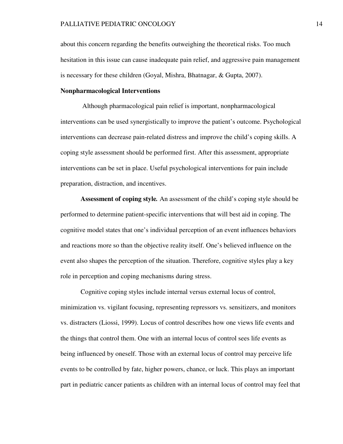about this concern regarding the benefits outweighing the theoretical risks. Too much hesitation in this issue can cause inadequate pain relief, and aggressive pain management is necessary for these children (Goyal, Mishra, Bhatnagar, & Gupta, 2007).

# **Nonpharmacological Interventions**

 Although pharmacological pain relief is important, nonpharmacological interventions can be used synergistically to improve the patient's outcome. Psychological interventions can decrease pain-related distress and improve the child's coping skills. A coping style assessment should be performed first. After this assessment, appropriate interventions can be set in place. Useful psychological interventions for pain include preparation, distraction, and incentives.

**Assessment of coping style***.* An assessment of the child's coping style should be performed to determine patient-specific interventions that will best aid in coping. The cognitive model states that one's individual perception of an event influences behaviors and reactions more so than the objective reality itself. One's believed influence on the event also shapes the perception of the situation. Therefore, cognitive styles play a key role in perception and coping mechanisms during stress.

 Cognitive coping styles include internal versus external locus of control, minimization vs. vigilant focusing, representing repressors vs. sensitizers, and monitors vs. distracters (Liossi, 1999). Locus of control describes how one views life events and the things that control them. One with an internal locus of control sees life events as being influenced by oneself. Those with an external locus of control may perceive life events to be controlled by fate, higher powers, chance, or luck. This plays an important part in pediatric cancer patients as children with an internal locus of control may feel that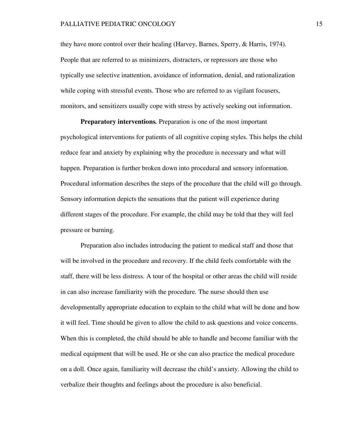they have more control over their healing (Harvey, Barnes, Sperry, & Harris, 1974). People that are referred to as minimizers, distracters, or repressors are those who typically use selective inattention, avoidance of information, denial, and rationalization while coping with stressful events. Those who are referred to as vigilant focusers, monitors, and sensitizers usually cope with stress by actively seeking out information.

**Preparatory interventions***.* Preparation is one of the most important psychological interventions for patients of all cognitive coping styles. This helps the child reduce fear and anxiety by explaining why the procedure is necessary and what will happen. Preparation is further broken down into procedural and sensory information. Procedural information describes the steps of the procedure that the child will go through. Sensory information depicts the sensations that the patient will experience during different stages of the procedure. For example, the child may be told that they will feel pressure or burning.

 Preparation also includes introducing the patient to medical staff and those that will be involved in the procedure and recovery. If the child feels comfortable with the staff, there will be less distress. A tour of the hospital or other areas the child will reside in can also increase familiarity with the procedure. The nurse should then use developmentally appropriate education to explain to the child what will be done and how it will feel. Time should be given to allow the child to ask questions and voice concerns. When this is completed, the child should be able to handle and become familiar with the medical equipment that will be used. He or she can also practice the medical procedure on a doll. Once again, familiarity will decrease the child's anxiety. Allowing the child to verbalize their thoughts and feelings about the procedure is also beneficial.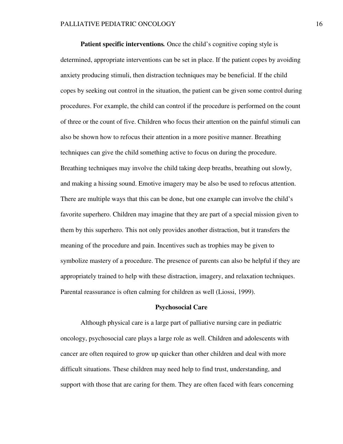**Patient specific interventions.** Once the child's cognitive coping style is determined, appropriate interventions can be set in place. If the patient copes by avoiding anxiety producing stimuli, then distraction techniques may be beneficial. If the child copes by seeking out control in the situation, the patient can be given some control during procedures. For example, the child can control if the procedure is performed on the count of three or the count of five. Children who focus their attention on the painful stimuli can also be shown how to refocus their attention in a more positive manner. Breathing techniques can give the child something active to focus on during the procedure. Breathing techniques may involve the child taking deep breaths, breathing out slowly, and making a hissing sound. Emotive imagery may be also be used to refocus attention. There are multiple ways that this can be done, but one example can involve the child's favorite superhero. Children may imagine that they are part of a special mission given to them by this superhero. This not only provides another distraction, but it transfers the meaning of the procedure and pain. Incentives such as trophies may be given to symbolize mastery of a procedure. The presence of parents can also be helpful if they are appropriately trained to help with these distraction, imagery, and relaxation techniques. Parental reassurance is often calming for children as well (Liossi, 1999).

#### **Psychosocial Care**

Although physical care is a large part of palliative nursing care in pediatric oncology, psychosocial care plays a large role as well. Children and adolescents with cancer are often required to grow up quicker than other children and deal with more difficult situations. These children may need help to find trust, understanding, and support with those that are caring for them. They are often faced with fears concerning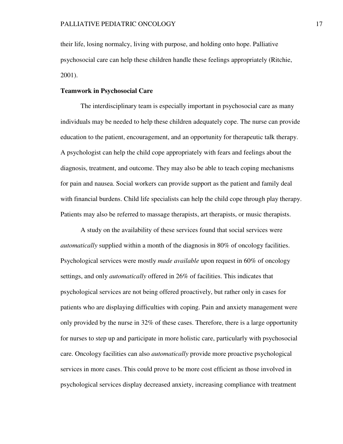their life, losing normalcy, living with purpose, and holding onto hope. Palliative psychosocial care can help these children handle these feelings appropriately (Ritchie, 2001).

# **Teamwork in Psychosocial Care**

The interdisciplinary team is especially important in psychosocial care as many individuals may be needed to help these children adequately cope. The nurse can provide education to the patient, encouragement, and an opportunity for therapeutic talk therapy. A psychologist can help the child cope appropriately with fears and feelings about the diagnosis, treatment, and outcome. They may also be able to teach coping mechanisms for pain and nausea. Social workers can provide support as the patient and family deal with financial burdens. Child life specialists can help the child cope through play therapy. Patients may also be referred to massage therapists, art therapists, or music therapists.

 A study on the availability of these services found that social services were *automatically* supplied within a month of the diagnosis in 80% of oncology facilities. Psychological services were mostly *made available* upon request in 60% of oncology settings, and only *automatically* offered in 26% of facilities. This indicates that psychological services are not being offered proactively, but rather only in cases for patients who are displaying difficulties with coping. Pain and anxiety management were only provided by the nurse in 32% of these cases. Therefore, there is a large opportunity for nurses to step up and participate in more holistic care, particularly with psychosocial care. Oncology facilities can also *automatically* provide more proactive psychological services in more cases. This could prove to be more cost efficient as those involved in psychological services display decreased anxiety, increasing compliance with treatment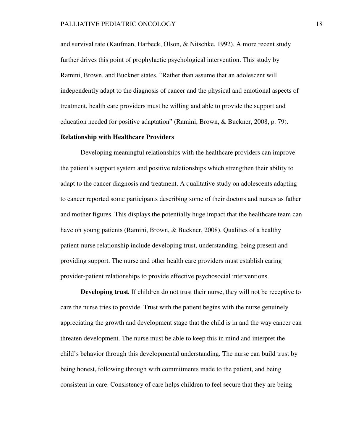and survival rate (Kaufman, Harbeck, Olson, & Nitschke, 1992). A more recent study further drives this point of prophylactic psychological intervention. This study by Ramini, Brown, and Buckner states, "Rather than assume that an adolescent will independently adapt to the diagnosis of cancer and the physical and emotional aspects of treatment, health care providers must be willing and able to provide the support and education needed for positive adaptation" (Ramini, Brown, & Buckner, 2008, p. 79).

# **Relationship with Healthcare Providers**

Developing meaningful relationships with the healthcare providers can improve the patient's support system and positive relationships which strengthen their ability to adapt to the cancer diagnosis and treatment. A qualitative study on adolescents adapting to cancer reported some participants describing some of their doctors and nurses as father and mother figures. This displays the potentially huge impact that the healthcare team can have on young patients (Ramini, Brown, & Buckner, 2008). Qualities of a healthy patient-nurse relationship include developing trust, understanding, being present and providing support. The nurse and other health care providers must establish caring provider-patient relationships to provide effective psychosocial interventions.

 **Developing trust***.* If children do not trust their nurse, they will not be receptive to care the nurse tries to provide. Trust with the patient begins with the nurse genuinely appreciating the growth and development stage that the child is in and the way cancer can threaten development. The nurse must be able to keep this in mind and interpret the child's behavior through this developmental understanding. The nurse can build trust by being honest, following through with commitments made to the patient, and being consistent in care. Consistency of care helps children to feel secure that they are being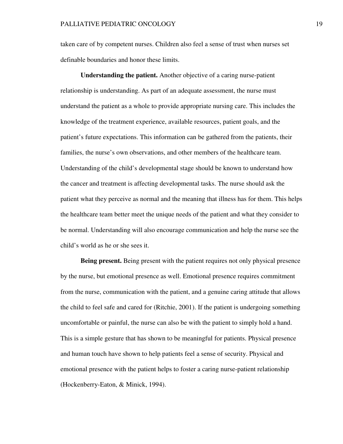taken care of by competent nurses. Children also feel a sense of trust when nurses set definable boundaries and honor these limits.

**Understanding the patient.** Another objective of a caring nurse-patient relationship is understanding. As part of an adequate assessment, the nurse must understand the patient as a whole to provide appropriate nursing care. This includes the knowledge of the treatment experience, available resources, patient goals, and the patient's future expectations. This information can be gathered from the patients, their families, the nurse's own observations, and other members of the healthcare team. Understanding of the child's developmental stage should be known to understand how the cancer and treatment is affecting developmental tasks. The nurse should ask the patient what they perceive as normal and the meaning that illness has for them. This helps the healthcare team better meet the unique needs of the patient and what they consider to be normal. Understanding will also encourage communication and help the nurse see the child's world as he or she sees it.

**Being present.** Being present with the patient requires not only physical presence by the nurse, but emotional presence as well. Emotional presence requires commitment from the nurse, communication with the patient, and a genuine caring attitude that allows the child to feel safe and cared for (Ritchie, 2001). If the patient is undergoing something uncomfortable or painful, the nurse can also be with the patient to simply hold a hand. This is a simple gesture that has shown to be meaningful for patients. Physical presence and human touch have shown to help patients feel a sense of security. Physical and emotional presence with the patient helps to foster a caring nurse-patient relationship (Hockenberry-Eaton, & Minick, 1994).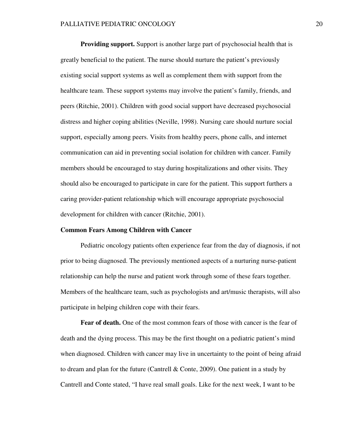**Providing support.** Support is another large part of psychosocial health that is greatly beneficial to the patient. The nurse should nurture the patient's previously existing social support systems as well as complement them with support from the healthcare team. These support systems may involve the patient's family, friends, and peers (Ritchie, 2001). Children with good social support have decreased psychosocial distress and higher coping abilities (Neville, 1998). Nursing care should nurture social support, especially among peers. Visits from healthy peers, phone calls, and internet communication can aid in preventing social isolation for children with cancer. Family members should be encouraged to stay during hospitalizations and other visits. They should also be encouraged to participate in care for the patient. This support furthers a caring provider-patient relationship which will encourage appropriate psychosocial development for children with cancer (Ritchie, 2001).

### **Common Fears Among Children with Cancer**

Pediatric oncology patients often experience fear from the day of diagnosis, if not prior to being diagnosed. The previously mentioned aspects of a nurturing nurse-patient relationship can help the nurse and patient work through some of these fears together. Members of the healthcare team, such as psychologists and art/music therapists, will also participate in helping children cope with their fears.

 **Fear of death.** One of the most common fears of those with cancer is the fear of death and the dying process. This may be the first thought on a pediatric patient's mind when diagnosed. Children with cancer may live in uncertainty to the point of being afraid to dream and plan for the future (Cantrell  $\&$  Conte, 2009). One patient in a study by Cantrell and Conte stated, "I have real small goals. Like for the next week, I want to be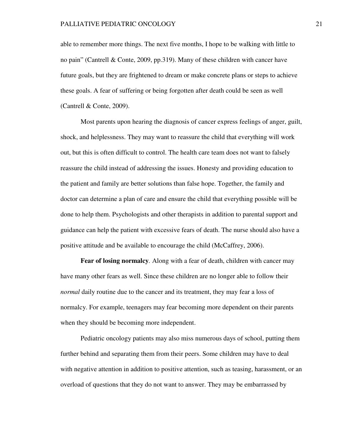able to remember more things. The next five months, I hope to be walking with little to no pain" (Cantrell & Conte, 2009, pp.319). Many of these children with cancer have future goals, but they are frightened to dream or make concrete plans or steps to achieve these goals. A fear of suffering or being forgotten after death could be seen as well (Cantrell & Conte, 2009).

 Most parents upon hearing the diagnosis of cancer express feelings of anger, guilt, shock, and helplessness. They may want to reassure the child that everything will work out, but this is often difficult to control. The health care team does not want to falsely reassure the child instead of addressing the issues. Honesty and providing education to the patient and family are better solutions than false hope. Together, the family and doctor can determine a plan of care and ensure the child that everything possible will be done to help them. Psychologists and other therapists in addition to parental support and guidance can help the patient with excessive fears of death. The nurse should also have a positive attitude and be available to encourage the child (McCaffrey, 2006).

 **Fear of losing normalcy***.* Along with a fear of death, children with cancer may have many other fears as well. Since these children are no longer able to follow their *normal* daily routine due to the cancer and its treatment, they may fear a loss of normalcy. For example, teenagers may fear becoming more dependent on their parents when they should be becoming more independent.

 Pediatric oncology patients may also miss numerous days of school, putting them further behind and separating them from their peers. Some children may have to deal with negative attention in addition to positive attention, such as teasing, harassment, or an overload of questions that they do not want to answer. They may be embarrassed by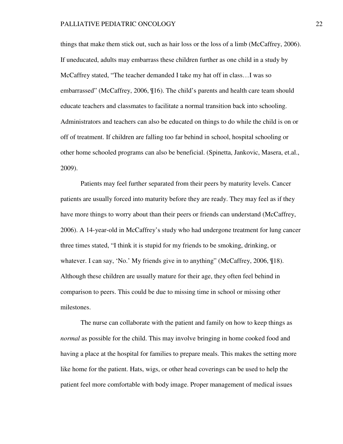things that make them stick out, such as hair loss or the loss of a limb (McCaffrey, 2006). If uneducated, adults may embarrass these children further as one child in a study by McCaffrey stated, "The teacher demanded I take my hat off in class…I was so embarrassed" (McCaffrey, 2006, ¶16). The child's parents and health care team should educate teachers and classmates to facilitate a normal transition back into schooling. Administrators and teachers can also be educated on things to do while the child is on or off of treatment. If children are falling too far behind in school, hospital schooling or other home schooled programs can also be beneficial. (Spinetta, Jankovic, Masera, et.al., 2009).

 Patients may feel further separated from their peers by maturity levels. Cancer patients are usually forced into maturity before they are ready. They may feel as if they have more things to worry about than their peers or friends can understand (McCaffrey, 2006). A 14-year-old in McCaffrey's study who had undergone treatment for lung cancer three times stated, "I think it is stupid for my friends to be smoking, drinking, or whatever. I can say, 'No.' My friends give in to anything" (McCaffrey, 2006, \times). Although these children are usually mature for their age, they often feel behind in comparison to peers. This could be due to missing time in school or missing other milestones.

 The nurse can collaborate with the patient and family on how to keep things as *normal* as possible for the child. This may involve bringing in home cooked food and having a place at the hospital for families to prepare meals. This makes the setting more like home for the patient. Hats, wigs, or other head coverings can be used to help the patient feel more comfortable with body image. Proper management of medical issues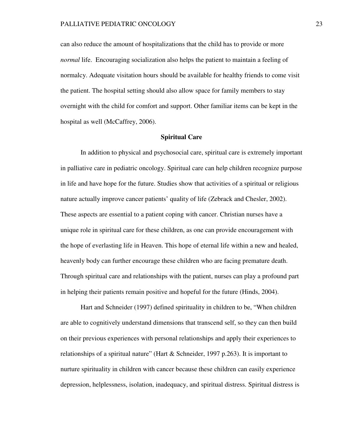can also reduce the amount of hospitalizations that the child has to provide or more *normal* life. Encouraging socialization also helps the patient to maintain a feeling of normalcy. Adequate visitation hours should be available for healthy friends to come visit the patient. The hospital setting should also allow space for family members to stay overnight with the child for comfort and support. Other familiar items can be kept in the hospital as well (McCaffrey, 2006).

### **Spiritual Care**

In addition to physical and psychosocial care, spiritual care is extremely important in palliative care in pediatric oncology. Spiritual care can help children recognize purpose in life and have hope for the future. Studies show that activities of a spiritual or religious nature actually improve cancer patients' quality of life (Zebrack and Chesler, 2002). These aspects are essential to a patient coping with cancer. Christian nurses have a unique role in spiritual care for these children, as one can provide encouragement with the hope of everlasting life in Heaven. This hope of eternal life within a new and healed, heavenly body can further encourage these children who are facing premature death. Through spiritual care and relationships with the patient, nurses can play a profound part in helping their patients remain positive and hopeful for the future (Hinds, 2004).

Hart and Schneider (1997) defined spirituality in children to be, "When children are able to cognitively understand dimensions that transcend self, so they can then build on their previous experiences with personal relationships and apply their experiences to relationships of a spiritual nature" (Hart & Schneider, 1997 p.263). It is important to nurture spirituality in children with cancer because these children can easily experience depression, helplessness, isolation, inadequacy, and spiritual distress. Spiritual distress is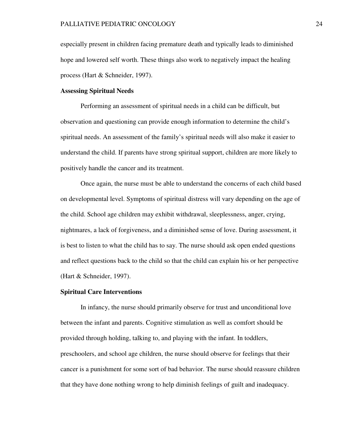especially present in children facing premature death and typically leads to diminished hope and lowered self worth. These things also work to negatively impact the healing process (Hart & Schneider, 1997).

# **Assessing Spiritual Needs**

 Performing an assessment of spiritual needs in a child can be difficult, but observation and questioning can provide enough information to determine the child's spiritual needs. An assessment of the family's spiritual needs will also make it easier to understand the child. If parents have strong spiritual support, children are more likely to positively handle the cancer and its treatment.

 Once again, the nurse must be able to understand the concerns of each child based on developmental level. Symptoms of spiritual distress will vary depending on the age of the child. School age children may exhibit withdrawal, sleeplessness, anger, crying, nightmares, a lack of forgiveness, and a diminished sense of love. During assessment, it is best to listen to what the child has to say. The nurse should ask open ended questions and reflect questions back to the child so that the child can explain his or her perspective (Hart & Schneider, 1997).

### **Spiritual Care Interventions**

In infancy, the nurse should primarily observe for trust and unconditional love between the infant and parents. Cognitive stimulation as well as comfort should be provided through holding, talking to, and playing with the infant. In toddlers, preschoolers, and school age children, the nurse should observe for feelings that their cancer is a punishment for some sort of bad behavior. The nurse should reassure children that they have done nothing wrong to help diminish feelings of guilt and inadequacy.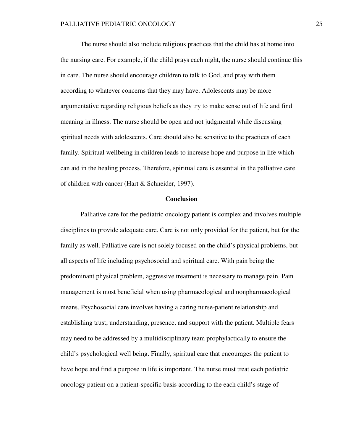The nurse should also include religious practices that the child has at home into the nursing care. For example, if the child prays each night, the nurse should continue this in care. The nurse should encourage children to talk to God, and pray with them according to whatever concerns that they may have. Adolescents may be more argumentative regarding religious beliefs as they try to make sense out of life and find meaning in illness. The nurse should be open and not judgmental while discussing spiritual needs with adolescents. Care should also be sensitive to the practices of each family. Spiritual wellbeing in children leads to increase hope and purpose in life which can aid in the healing process. Therefore, spiritual care is essential in the palliative care of children with cancer (Hart & Schneider, 1997).

### **Conclusion**

 Palliative care for the pediatric oncology patient is complex and involves multiple disciplines to provide adequate care. Care is not only provided for the patient, but for the family as well. Palliative care is not solely focused on the child's physical problems, but all aspects of life including psychosocial and spiritual care. With pain being the predominant physical problem, aggressive treatment is necessary to manage pain. Pain management is most beneficial when using pharmacological and nonpharmacological means. Psychosocial care involves having a caring nurse-patient relationship and establishing trust, understanding, presence, and support with the patient. Multiple fears may need to be addressed by a multidisciplinary team prophylactically to ensure the child's psychological well being. Finally, spiritual care that encourages the patient to have hope and find a purpose in life is important. The nurse must treat each pediatric oncology patient on a patient-specific basis according to the each child's stage of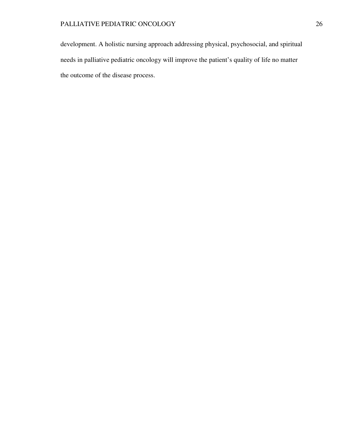development. A holistic nursing approach addressing physical, psychosocial, and spiritual needs in palliative pediatric oncology will improve the patient's quality of life no matter the outcome of the disease process.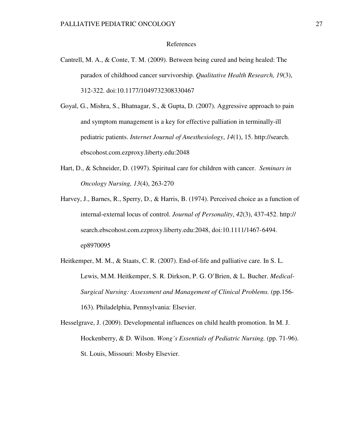### References

- Cantrell, M. A., & Conte, T. M. (2009). Between being cured and being healed: The paradox of childhood cancer survivorship. *Qualitative Health Research, 19*(3), 312-322. doi:10.1177/1049732308330467
- Goyal, G., Mishra, S., Bhatnagar, S., & Gupta, D. (2007). Aggressive approach to pain and symptom management is a key for effective palliation in terminally-ill pediatric patients. *Internet Journal of Anesthesiology*, *14*(1), 15. http://search. ebscohost.com.ezproxy.liberty.edu:2048
- Hart, D., & Schneider, D. (1997). Spiritual care for children with cancer. *Seminars in Oncology Nursing, 13*(4), 263-270
- Harvey, J., Barnes, R., Sperry, D., & Harris, B. (1974). Perceived choice as a function of internal-external locus of control. *Journal of Personality*, *42*(3), 437-452. http:// search.ebscohost.com.ezproxy.liberty.edu:2048, doi:10.1111/1467-6494. ep8970095
- Heitkemper, M. M., & Staats, C. R. (2007). End-of-life and palliative care. In S. L. Lewis, M.M. Heitkemper, S. R. Dirkson, P. G. O'Brien, & L. Bucher. *Medical- Surgical Nursing: Assessment and Management of Clinical Problems.* (pp.156- 163). Philadelphia, Pennsylvania: Elsevier.
- Hesselgrave, J. (2009). Developmental influences on child health promotion. In M. J. Hockenberry, & D. Wilson. *Wong's Essentials of Pediatric Nursing.* (pp. 71-96). St. Louis, Missouri: Mosby Elsevier.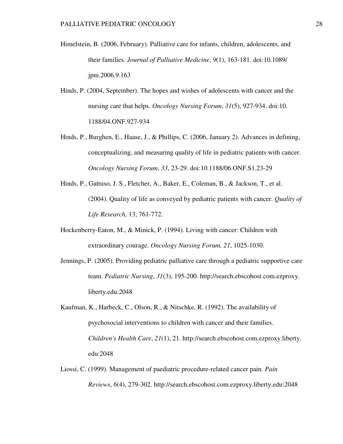- Himelstein, B. (2006, February). Palliative care for infants, children, adolescents, and their families. *Journal of Palliative Medicine*, *9*(1), 163-181. doi:10.1089/ jpm.2006.9.163
- Hinds, P. (2004, September). The hopes and wishes of adolescents with cancer and the nursing care that helps. *Oncology Nursing Forum*, *31*(5), 927-934. doi:10. 1188/04.ONF.927-934
- Hinds, P., Burghen, E., Haase, J., & Phillips, C. (2006, January 2). Advances in defining, conceptualizing, and measuring quality of life in pediatric patients with cancer. *Oncology Nursing Forum*, *33*, 23-29. doi:10.1188/06.ONF.S1.23-29
- Hinds, P., Gattuso, J. S., Fletcher, A., Baker, E., Coleman, B., & Jackson, T., et al. (2004). Quality of life as conveyed by pediatric patients with cancer. *Quality of Life Research,* 13, 761-772.
- Hockenberry-Eaton, M., & Minick, P. (1994). Living with cancer: Children with extraordinary courage. *Oncology Nursing Forum, 21*, 1025-1030.
- Jennings, P. (2005). Providing pediatric palliative care through a pediatric supportive care team. *Pediatric Nursing*, *31*(3), 195-200. http://search.ebscohost.com.ezproxy. liberty.edu:2048
- Kaufman, K., Harbeck, C., Olson, R., & Nitschke, R. (1992). The availability of psychosocial interventions to children with cancer and their families. *Children's Health Care*, *21*(1), 21. http://search.ebscohost.com.ezproxy.liberty. edu:2048
- Liossi, C. (1999). Management of paediatric procedure-related cancer pain. *Pain Reviews*, *6*(4), 279-302. http://search.ebscohost.com.ezproxy.liberty.edu:2048